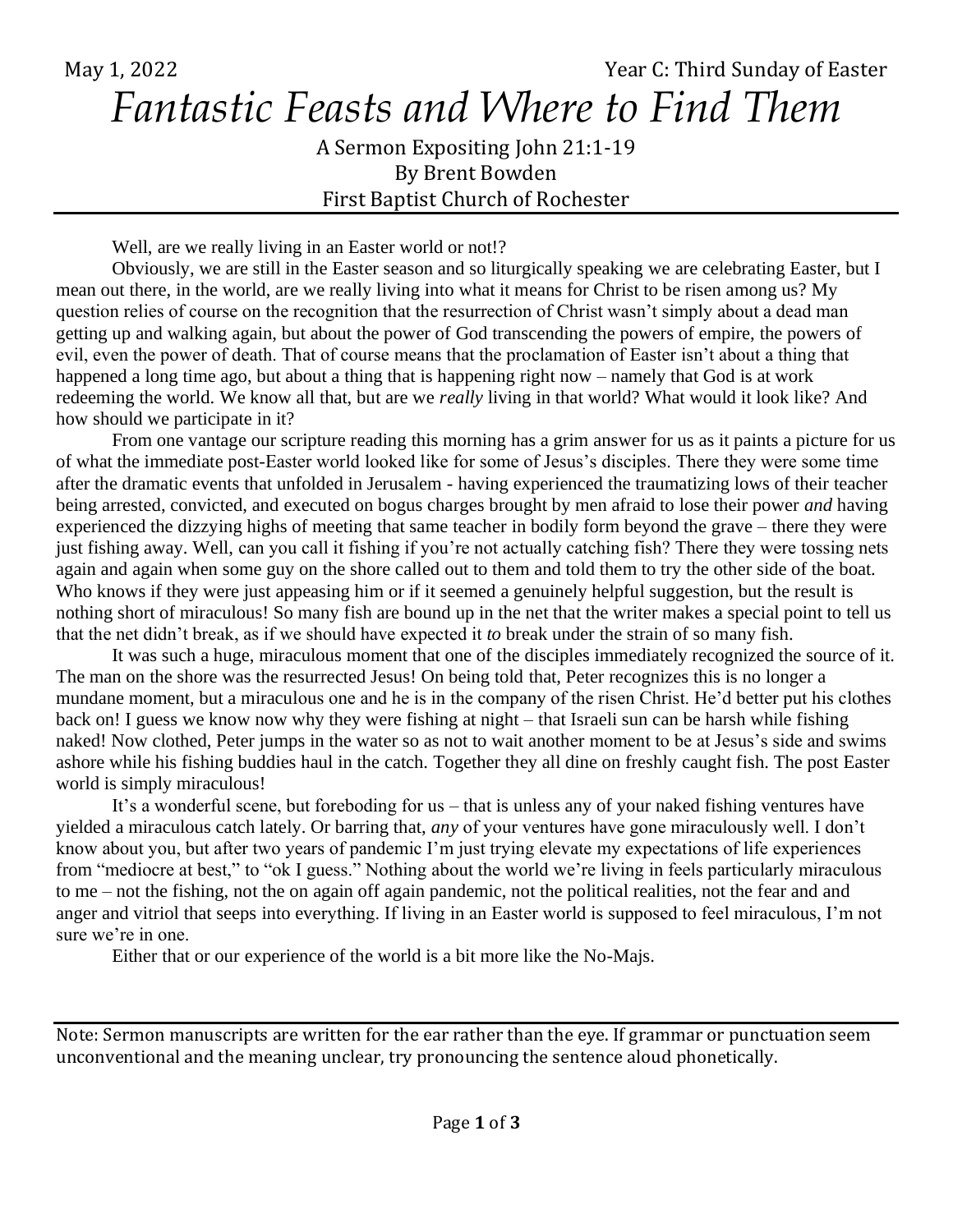May 1, 2022 **May 1, 2022** Third Sunday of Easter *Fantastic Feasts and Where to Find Them*

> A Sermon Expositing John 21:1-19 By Brent Bowden First Baptist Church of Rochester

Well, are we really living in an Easter world or not!?

Obviously, we are still in the Easter season and so liturgically speaking we are celebrating Easter, but I mean out there, in the world, are we really living into what it means for Christ to be risen among us? My question relies of course on the recognition that the resurrection of Christ wasn't simply about a dead man getting up and walking again, but about the power of God transcending the powers of empire, the powers of evil, even the power of death. That of course means that the proclamation of Easter isn't about a thing that happened a long time ago, but about a thing that is happening right now – namely that God is at work redeeming the world. We know all that, but are we *really* living in that world? What would it look like? And how should we participate in it?

From one vantage our scripture reading this morning has a grim answer for us as it paints a picture for us of what the immediate post-Easter world looked like for some of Jesus's disciples. There they were some time after the dramatic events that unfolded in Jerusalem - having experienced the traumatizing lows of their teacher being arrested, convicted, and executed on bogus charges brought by men afraid to lose their power *and* having experienced the dizzying highs of meeting that same teacher in bodily form beyond the grave – there they were just fishing away. Well, can you call it fishing if you're not actually catching fish? There they were tossing nets again and again when some guy on the shore called out to them and told them to try the other side of the boat. Who knows if they were just appeasing him or if it seemed a genuinely helpful suggestion, but the result is nothing short of miraculous! So many fish are bound up in the net that the writer makes a special point to tell us that the net didn't break, as if we should have expected it *to* break under the strain of so many fish.

It was such a huge, miraculous moment that one of the disciples immediately recognized the source of it. The man on the shore was the resurrected Jesus! On being told that, Peter recognizes this is no longer a mundane moment, but a miraculous one and he is in the company of the risen Christ. He'd better put his clothes back on! I guess we know now why they were fishing at night – that Israeli sun can be harsh while fishing naked! Now clothed, Peter jumps in the water so as not to wait another moment to be at Jesus's side and swims ashore while his fishing buddies haul in the catch. Together they all dine on freshly caught fish. The post Easter world is simply miraculous!

It's a wonderful scene, but foreboding for us – that is unless any of your naked fishing ventures have yielded a miraculous catch lately. Or barring that, *any* of your ventures have gone miraculously well. I don't know about you, but after two years of pandemic I'm just trying elevate my expectations of life experiences from "mediocre at best," to "ok I guess." Nothing about the world we're living in feels particularly miraculous to me – not the fishing, not the on again off again pandemic, not the political realities, not the fear and and anger and vitriol that seeps into everything. If living in an Easter world is supposed to feel miraculous, I'm not sure we're in one.

Either that or our experience of the world is a bit more like the No-Majs.

Note: Sermon manuscripts are written for the ear rather than the eye. If grammar or punctuation seem unconventional and the meaning unclear, try pronouncing the sentence aloud phonetically.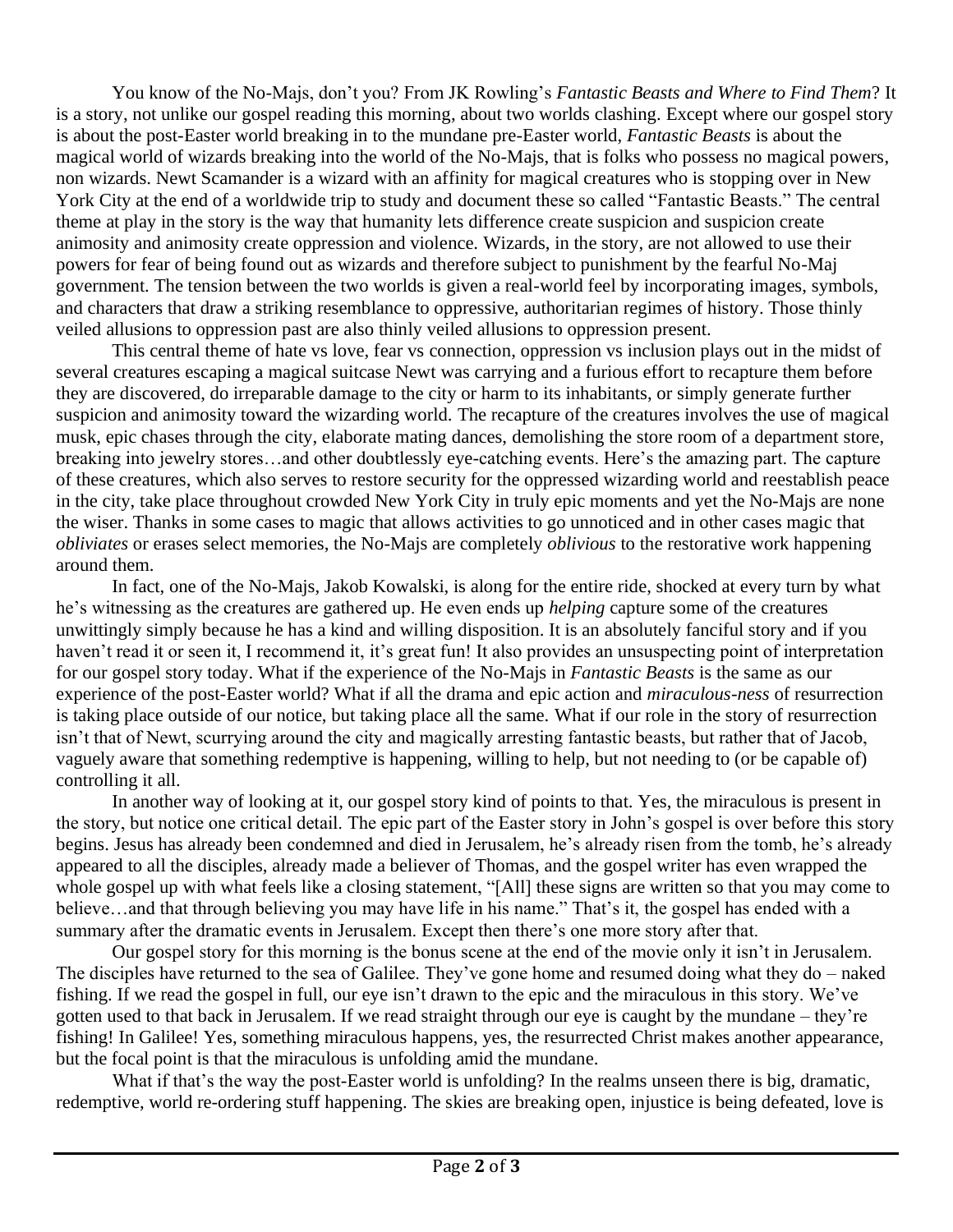You know of the No-Majs, don't you? From JK Rowling's *Fantastic Beasts and Where to Find Them*? It is a story, not unlike our gospel reading this morning, about two worlds clashing. Except where our gospel story is about the post-Easter world breaking in to the mundane pre-Easter world, *Fantastic Beasts* is about the magical world of wizards breaking into the world of the No-Majs, that is folks who possess no magical powers, non wizards. Newt Scamander is a wizard with an affinity for magical creatures who is stopping over in New York City at the end of a worldwide trip to study and document these so called "Fantastic Beasts." The central theme at play in the story is the way that humanity lets difference create suspicion and suspicion create animosity and animosity create oppression and violence. Wizards, in the story, are not allowed to use their powers for fear of being found out as wizards and therefore subject to punishment by the fearful No-Maj government. The tension between the two worlds is given a real-world feel by incorporating images, symbols, and characters that draw a striking resemblance to oppressive, authoritarian regimes of history. Those thinly veiled allusions to oppression past are also thinly veiled allusions to oppression present.

This central theme of hate vs love, fear vs connection, oppression vs inclusion plays out in the midst of several creatures escaping a magical suitcase Newt was carrying and a furious effort to recapture them before they are discovered, do irreparable damage to the city or harm to its inhabitants, or simply generate further suspicion and animosity toward the wizarding world. The recapture of the creatures involves the use of magical musk, epic chases through the city, elaborate mating dances, demolishing the store room of a department store, breaking into jewelry stores…and other doubtlessly eye-catching events. Here's the amazing part. The capture of these creatures, which also serves to restore security for the oppressed wizarding world and reestablish peace in the city, take place throughout crowded New York City in truly epic moments and yet the No-Majs are none the wiser. Thanks in some cases to magic that allows activities to go unnoticed and in other cases magic that *obliviates* or erases select memories, the No-Majs are completely *oblivious* to the restorative work happening around them.

In fact, one of the No-Majs, Jakob Kowalski, is along for the entire ride, shocked at every turn by what he's witnessing as the creatures are gathered up. He even ends up *helping* capture some of the creatures unwittingly simply because he has a kind and willing disposition. It is an absolutely fanciful story and if you haven't read it or seen it, I recommend it, it's great fun! It also provides an unsuspecting point of interpretation for our gospel story today. What if the experience of the No-Majs in *Fantastic Beasts* is the same as our experience of the post-Easter world? What if all the drama and epic action and *miraculous-ness* of resurrection is taking place outside of our notice, but taking place all the same. What if our role in the story of resurrection isn't that of Newt, scurrying around the city and magically arresting fantastic beasts, but rather that of Jacob, vaguely aware that something redemptive is happening, willing to help, but not needing to (or be capable of) controlling it all.

In another way of looking at it, our gospel story kind of points to that. Yes, the miraculous is present in the story, but notice one critical detail. The epic part of the Easter story in John's gospel is over before this story begins. Jesus has already been condemned and died in Jerusalem, he's already risen from the tomb, he's already appeared to all the disciples, already made a believer of Thomas, and the gospel writer has even wrapped the whole gospel up with what feels like a closing statement, "[All] these signs are written so that you may come to believe…and that through believing you may have life in his name." That's it, the gospel has ended with a summary after the dramatic events in Jerusalem. Except then there's one more story after that.

Our gospel story for this morning is the bonus scene at the end of the movie only it isn't in Jerusalem. The disciples have returned to the sea of Galilee. They've gone home and resumed doing what they do – naked fishing. If we read the gospel in full, our eye isn't drawn to the epic and the miraculous in this story. We've gotten used to that back in Jerusalem. If we read straight through our eye is caught by the mundane – they're fishing! In Galilee! Yes, something miraculous happens, yes, the resurrected Christ makes another appearance, but the focal point is that the miraculous is unfolding amid the mundane.

What if that's the way the post-Easter world is unfolding? In the realms unseen there is big, dramatic, redemptive, world re-ordering stuff happening. The skies are breaking open, injustice is being defeated, love is